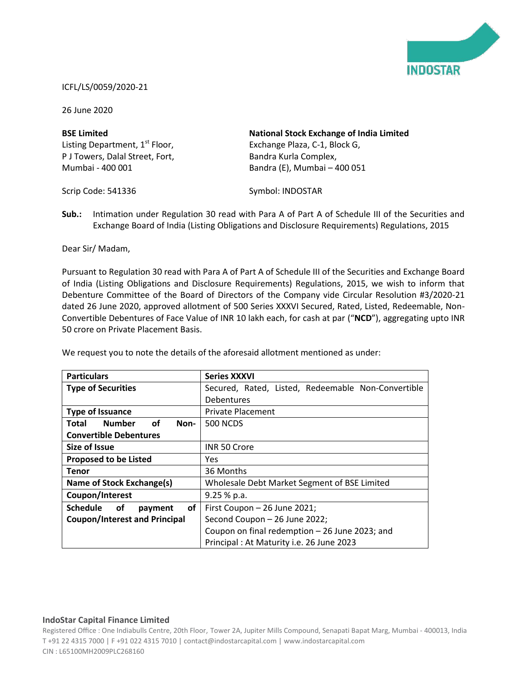

## ICFL/LS/0059/2020-21

26 June 2020

| <b>BSE Limited</b>                         | <b>National Stock Exchange of India Limited</b> |
|--------------------------------------------|-------------------------------------------------|
| Listing Department, 1 <sup>st</sup> Floor, | Exchange Plaza, C-1, Block G,                   |
| P J Towers, Dalal Street, Fort,            | Bandra Kurla Complex,                           |
| Mumbai - 400 001                           | Bandra (E), Mumbai - 400 051                    |

Scrip Code: 541336

Symbol: INDOSTAR

**Sub.:** Intimation under Regulation 30 read with Para A of Part A of Schedule III of the Securities and Exchange Board of India (Listing Obligations and Disclosure Requirements) Regulations, 2015

Dear Sir/ Madam,

Pursuant to Regulation 30 read with Para A of Part A of Schedule III of the Securities and Exchange Board of India (Listing Obligations and Disclosure Requirements) Regulations, 2015, we wish to inform that Debenture Committee of the Board of Directors of the Company vide Circular Resolution #3/2020-21 dated 26 June 2020, approved allotment of 500 Series XXXVI Secured, Rated, Listed, Redeemable, Non-Convertible Debentures of Face Value of INR 10 lakh each, for cash at par ("**NCD**"), aggregating upto INR 50 crore on Private Placement Basis.

| <b>Particulars</b>                     | <b>Series XXXVI</b>                                |
|----------------------------------------|----------------------------------------------------|
| <b>Type of Securities</b>              | Secured, Rated, Listed, Redeemable Non-Convertible |
|                                        | <b>Debentures</b>                                  |
| <b>Type of Issuance</b>                | <b>Private Placement</b>                           |
| <b>Number</b><br>of<br>Total<br>Non-   | <b>500 NCDS</b>                                    |
| <b>Convertible Debentures</b>          |                                                    |
| <b>Size of Issue</b>                   | INR 50 Crore                                       |
| <b>Proposed to be Listed</b>           | Yes                                                |
| <b>Tenor</b>                           | 36 Months                                          |
| Name of Stock Exchange(s)              | Wholesale Debt Market Segment of BSE Limited       |
| Coupon/Interest                        | $9.25%$ p.a.                                       |
| <b>Schedule</b><br>of<br>оf<br>payment | First Coupon - 26 June 2021;                       |
| <b>Coupon/Interest and Principal</b>   | Second Coupon - 26 June 2022;                      |
|                                        | Coupon on final redemption - 26 June 2023; and     |
|                                        | Principal: At Maturity i.e. 26 June 2023           |

We request you to note the details of the aforesaid allotment mentioned as under:

## **IndoStar Capital Finance Limited**

Registered Office : One Indiabulls Centre, 20th Floor, Tower 2A, Jupiter Mills Compound, Senapati Bapat Marg, Mumbai - 400013, India T +91 22 4315 7000 | F +91 022 4315 7010 | contact@indostarcapital.com | www.indostarcapital.com CIN : L65100MH2009PLC268160